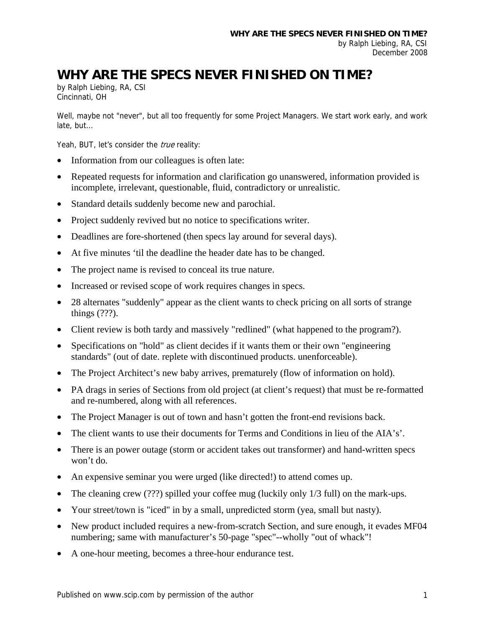## **WHY ARE THE SPECS NEVER FINISHED ON TIME?**

by Ralph Liebing, RA, CSI Cincinnati, OH

Well, maybe not "never", but all too frequently for some Project Managers. We start work early, and work late, but…

Yeah, BUT, let's consider the *true* reality:

- Information from our colleagues is often late:
- Repeated requests for information and clarification go unanswered, information provided is incomplete, irrelevant, questionable, fluid, contradictory or unrealistic.
- Standard details suddenly become new and parochial.
- Project suddenly revived but no notice to specifications writer.
- Deadlines are fore-shortened (then specs lay around for several days).
- At five minutes 'til the deadline the header date has to be changed.
- The project name is revised to conceal its true nature.
- Increased or revised scope of work requires changes in specs.
- 28 alternates "suddenly" appear as the client wants to check pricing on all sorts of strange things (???).
- Client review is both tardy and massively "redlined" (what happened to the program?).
- Specifications on "hold" as client decides if it wants them or their own "engineering" standards" (out of date. replete with discontinued products. unenforceable).
- The Project Architect's new baby arrives, prematurely (flow of information on hold).
- PA drags in series of Sections from old project (at client's request) that must be re-formatted and re-numbered, along with all references.
- The Project Manager is out of town and hasn't gotten the front-end revisions back.
- The client wants to use their documents for Terms and Conditions in lieu of the AIA's'.
- There is an power outage (storm or accident takes out transformer) and hand-written specs won't do.
- An expensive seminar you were urged (like directed!) to attend comes up.
- The cleaning crew (???) spilled your coffee mug (luckily only 1/3 full) on the mark-ups.
- Your street/town is "iced" in by a small, unpredicted storm (yea, small but nasty).
- New product included requires a new-from-scratch Section, and sure enough, it evades MF04 numbering; same with manufacturer's 50-page "spec"--wholly "out of whack"!
- A one-hour meeting, becomes a three-hour endurance test.